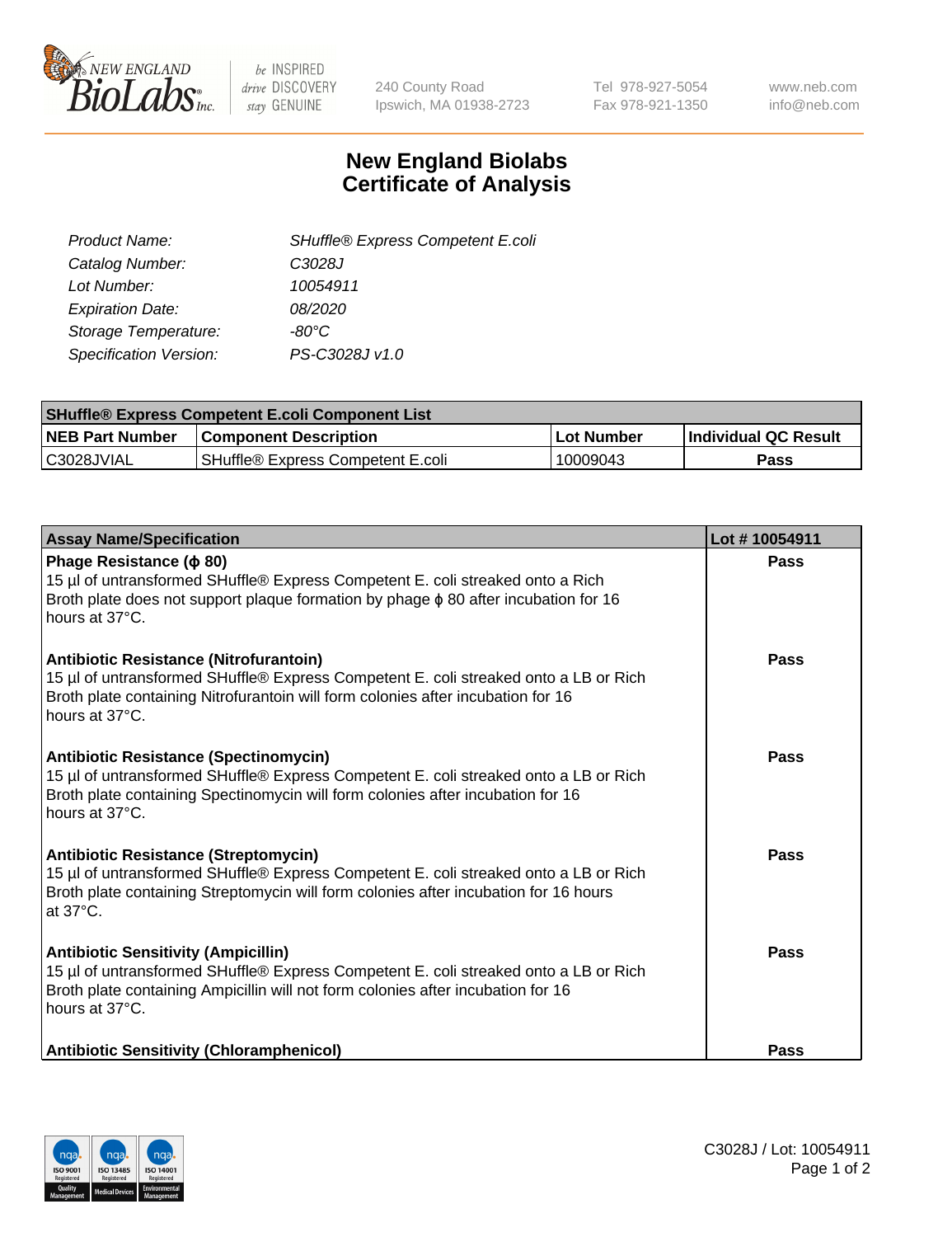

be INSPIRED drive DISCOVERY stay GENUINE

240 County Road Ipswich, MA 01938-2723 Tel 978-927-5054 Fax 978-921-1350 www.neb.com info@neb.com

## **New England Biolabs Certificate of Analysis**

| SHuffle® Express Competent E.coli |
|-----------------------------------|
| C3028J                            |
| 10054911                          |
| 08/2020                           |
| -80°C                             |
| PS-C3028J v1.0                    |
|                                   |

| <b>SHuffle® Express Competent E.coli Component List</b> |                                   |                   |                             |  |
|---------------------------------------------------------|-----------------------------------|-------------------|-----------------------------|--|
| <b>NEB Part Number</b>                                  | <b>Component Description</b>      | <b>Lot Number</b> | <b>Individual QC Result</b> |  |
| C3028JVIAL                                              | SHuffle® Express Competent E.coli | 10009043          | Pass                        |  |

| <b>Assay Name/Specification</b>                                                                                                                                                                                                           | Lot #10054911 |
|-------------------------------------------------------------------------------------------------------------------------------------------------------------------------------------------------------------------------------------------|---------------|
| Phage Resistance ( $\phi$ 80)<br>15 µl of untransformed SHuffle® Express Competent E. coli streaked onto a Rich<br>Broth plate does not support plaque formation by phage $\phi$ 80 after incubation for 16<br>hours at 37°C.             | Pass          |
| Antibiotic Resistance (Nitrofurantoin)<br>15 µl of untransformed SHuffle® Express Competent E. coli streaked onto a LB or Rich<br>Broth plate containing Nitrofurantoin will form colonies after incubation for 16<br>hours at 37°C.      | Pass          |
| <b>Antibiotic Resistance (Spectinomycin)</b><br>15 µl of untransformed SHuffle® Express Competent E. coli streaked onto a LB or Rich<br>Broth plate containing Spectinomycin will form colonies after incubation for 16<br>hours at 37°C. | Pass          |
| <b>Antibiotic Resistance (Streptomycin)</b><br>15 µl of untransformed SHuffle® Express Competent E. coli streaked onto a LB or Rich<br>Broth plate containing Streptomycin will form colonies after incubation for 16 hours<br>at 37°C.   | Pass          |
| <b>Antibiotic Sensitivity (Ampicillin)</b><br>15 µl of untransformed SHuffle® Express Competent E. coli streaked onto a LB or Rich<br>Broth plate containing Ampicillin will not form colonies after incubation for 16<br>hours at 37°C.  | Pass          |
| <b>Antibiotic Sensitivity (Chloramphenicol)</b>                                                                                                                                                                                           | Pass          |